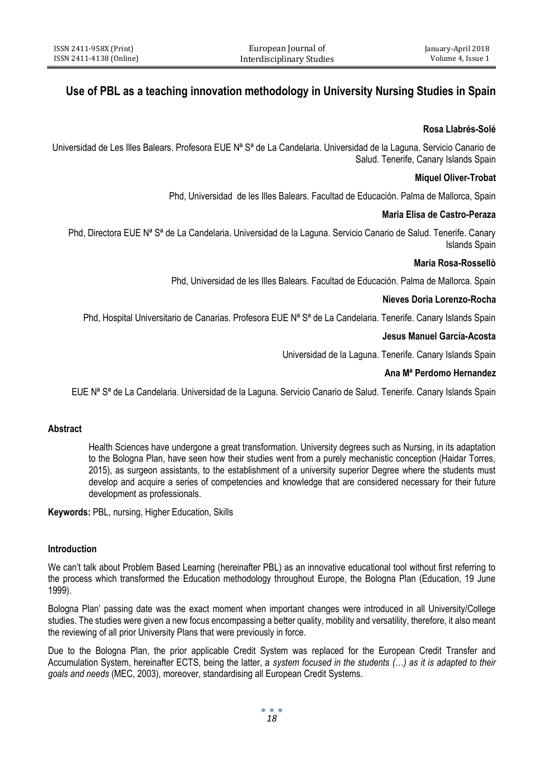# **Use of PBL as a teaching innovation methodology in University Nursing Studies in Spain**

# **Rosa Llabrés-Solé**

Universidad de Les Illes Balears. Profesora EUE N<sup>a</sup> S<sup>a</sup> de La Candelaria. Universidad de la Laguna. Servicio Canario de Salud. Tenerife, Canary Islands Spain

# **Miquel Oliver-Trobat**

Phd, Universidad de les Illes Balears. Facultad de Educación. Palma de Mallorca, Spain

# **Maria Elisa de Castro-Peraza**

Phd, Directora EUE N<sup>a</sup> S<sup>ª</sup> de La Candelaria. Universidad de la Laguna. Servicio Canario de Salud. Tenerife. Canary Islands Spain

## **Maria Rosa-Rossellò**

Phd, Universidad de les Illes Balears. Facultad de Educación. Palma de Mallorca. Spain

## **Nieves Doria Lorenzo-Rocha**

Phd, Hospital Universitario de Canarias. Profesora EUE Nª Sª de La Candelaria. Tenerife. Canary Islands Spain

## **Jesus Manuel García-Acosta**

Universidad de la Laguna. Tenerife. Canary Islands Spain

# **Ana Mª Perdomo Hernandez**

EUE N<sup>a</sup> S<sup>a</sup> de La Candelaria. Universidad de la Laguna. Servicio Canario de Salud. Tenerife. Canary Islands Spain

## **Abstract**

Health Sciences have undergone a great transformation. University degrees such as Nursing, in its adaptation to the Bologna Plan, have seen how their studies went from a purely mechanistic conception (Haidar Torres, 2015), as surgeon assistants, to the establishment of a university superior Degree where the students must develop and acquire a series of competencies and knowledge that are considered necessary for their future development as professionals.

**Keywords:** PBL, nursing, Higher Education, Skills

## **Introduction**

We can't talk about Problem Based Learning (hereinafter PBL) as an innovative educational tool without first referring to the process which transformed the Education methodology throughout Europe, the Bologna Plan (Education, 19 June 1999).

Bologna Plan' passing date was the exact moment when important changes were introduced in all University/College studies. The studies were given a new focus encompassing a better quality, mobility and versatility, therefore, it also meant the reviewing of all prior University Plans that were previously in force.

Due to the Bologna Plan, the prior applicable Credit System was replaced for the European Credit Transfer and Accumulation System, hereinafter ECTS, being the latter, a *system focused in the students (…) as it is adapted to their goals and needs* (MEC, 2003), moreover, standardising all European Credit Systems.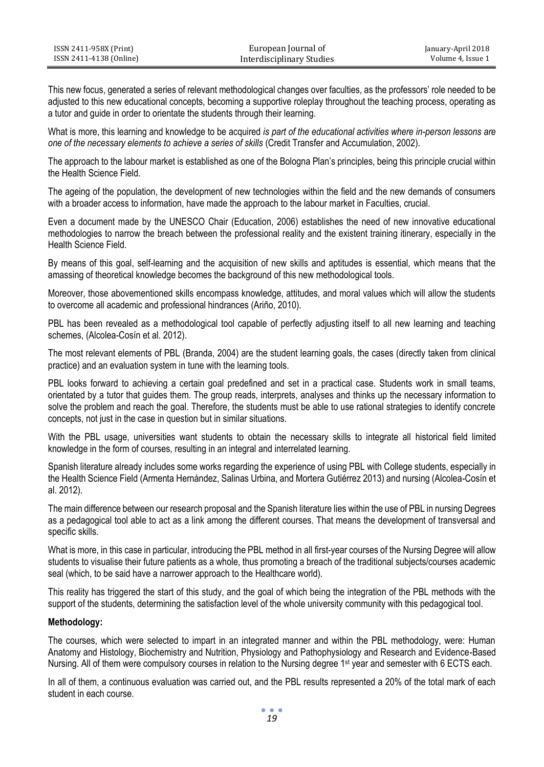| ISSN 2411-958X (Print)  | European Journal of       | January-April 2018 |
|-------------------------|---------------------------|--------------------|
| ISSN 2411-4138 (Online) | Interdisciplinary Studies | Volume 4. Issue 1  |

This new focus, generated a series of relevant methodological changes over faculties, as the professors' role needed to be adjusted to this new educational concepts, becoming a supportive roleplay throughout the teaching process, operating as a tutor and guide in order to orientate the students through their learning.

What is more, this learning and knowledge to be acquired *is part of the educational activities where in-person lessons are one of the necessary elements to achieve a series of skills* (Credit Transfer and Accumulation, 2002).

The approach to the labour market is established as one of the Bologna Plan's principles, being this principle crucial within the Health Science Field.

The ageing of the population, the development of new technologies within the field and the new demands of consumers with a broader access to information, have made the approach to the labour market in Faculties, crucial.

Even a document made by the UNESCO Chair (Education, 2006) establishes the need of new innovative educational methodologies to narrow the breach between the professional reality and the existent training itinerary, especially in the Health Science Field.

By means of this goal, self-learning and the acquisition of new skills and aptitudes is essential, which means that the amassing of theoretical knowledge becomes the background of this new methodological tools.

Moreover, those abovementioned skills encompass knowledge, attitudes, and moral values which will allow the students to overcome all academic and professional hindrances (Ariño, 2010).

PBL has been revealed as a methodological tool capable of perfectly adjusting itself to all new learning and teaching schemes, (Alcolea-Cosín et al. 2012).

The most relevant elements of PBL (Branda, 2004) are the student learning goals, the cases (directly taken from clinical practice) and an evaluation system in tune with the learning tools.

PBL looks forward to achieving a certain goal predefined and set in a practical case. Students work in small teams, orientated by a tutor that guides them. The group reads, interprets, analyses and thinks up the necessary information to solve the problem and reach the goal. Therefore, the students must be able to use rational strategies to identify concrete concepts, not just in the case in question but in similar situations.

With the PBL usage, universities want students to obtain the necessary skills to integrate all historical field limited knowledge in the form of courses, resulting in an integral and interrelated learning.

Spanish literature already includes some works regarding the experience of using PBL with College students, especially in the Health Science Field (Armenta Hernández, Salinas Urbina, and Mortera Gutiérrez 2013) and nursing (Alcolea-Cosín et al. 2012).

The main difference between our research proposal and the Spanish literature lies within the use of PBL in nursing Degrees as a pedagogical tool able to act as a link among the different courses. That means the development of transversal and specific skills.

What is more, in this case in particular, introducing the PBL method in all first-year courses of the Nursing Degree will allow students to visualise their future patients as a whole, thus promoting a breach of the traditional subjects/courses academic seal (which, to be said have a narrower approach to the Healthcare world).

This reality has triggered the start of this study, and the goal of which being the integration of the PBL methods with the support of the students, determining the satisfaction level of the whole university community with this pedagogical tool.

# **Methodology:**

The courses, which were selected to impart in an integrated manner and within the PBL methodology, were: Human Anatomy and Histology, Biochemistry and Nutrition, Physiology and Pathophysiology and Research and Evidence-Based Nursing. All of them were compulsory courses in relation to the Nursing degree 1<sup>st</sup> year and semester with 6 ECTS each.

In all of them, a continuous evaluation was carried out, and the PBL results represented a 20% of the total mark of each student in each course.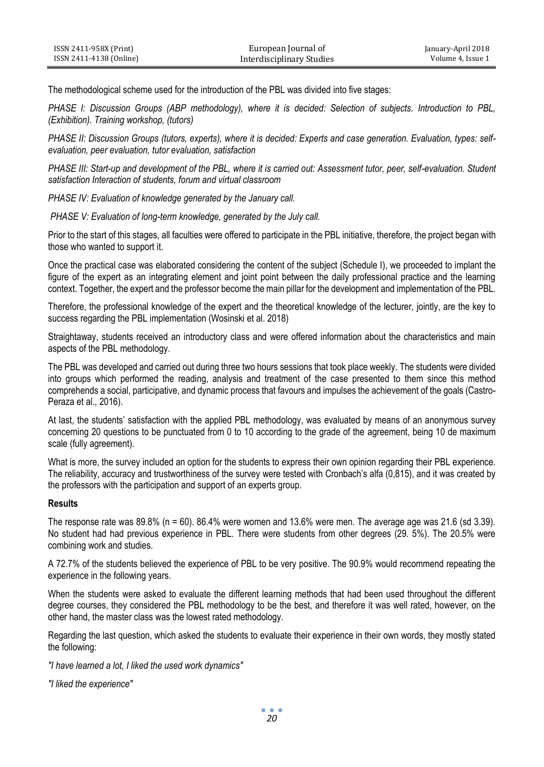| ISSN 2411-958X (Print)  | European Journal of       | January-April 2018 |
|-------------------------|---------------------------|--------------------|
| ISSN 2411-4138 (Online) | Interdisciplinary Studies | Volume 4. Issue 1  |

The methodological scheme used for the introduction of the PBL was divided into five stages:

*PHASE I: Discussion Groups (ABP methodology), where it is decided: Selection of subjects. Introduction to PBL, (Exhibition). Training workshop, (tutors)*

*PHASE II: Discussion Groups (tutors, experts), where it is decided: Experts and case generation. Evaluation, types: selfevaluation, peer evaluation, tutor evaluation, satisfaction*

*PHASE III: Start-up and development of the PBL, where it is carried out: Assessment tutor, peer, self-evaluation. Student satisfaction Interaction of students, forum and virtual classroom*

*PHASE IV: Evaluation of knowledge generated by the January call.*

*PHASE V: Evaluation of long-term knowledge, generated by the July call.*

Prior to the start of this stages, all faculties were offered to participate in the PBL initiative, therefore, the project began with those who wanted to support it.

Once the practical case was elaborated considering the content of the subject (Schedule I), we proceeded to implant the figure of the expert as an integrating element and joint point between the daily professional practice and the learning context. Together, the expert and the professor become the main pillar for the development and implementation of the PBL.

Therefore, the professional knowledge of the expert and the theoretical knowledge of the lecturer, jointly, are the key to success regarding the PBL implementation (Wosinski et al. 2018)

Straightaway, students received an introductory class and were offered information about the characteristics and main aspects of the PBL methodology.

The PBL was developed and carried out during three two hours sessions that took place weekly. The students were divided into groups which performed the reading, analysis and treatment of the case presented to them since this method comprehends a social, participative, and dynamic process that favours and impulses the achievement of the goals (Castro-Peraza et al., 2016).

At last, the students' satisfaction with the applied PBL methodology, was evaluated by means of an anonymous survey concerning 20 questions to be punctuated from 0 to 10 according to the grade of the agreement, being 10 de maximum scale (fully agreement).

What is more, the survey included an option for the students to express their own opinion regarding their PBL experience. The reliability, accuracy and trustworthiness of the survey were tested with Cronbach's alfa (0,815), and it was created by the professors with the participation and support of an experts group.

# **Results**

The response rate was 89.8% (n = 60). 86.4% were women and 13.6% were men. The average age was 21.6 (sd 3.39). No student had had previous experience in PBL. There were students from other degrees (29. 5%). The 20.5% were combining work and studies.

A 72.7% of the students believed the experience of PBL to be very positive. The 90.9% would recommend repeating the experience in the following years.

When the students were asked to evaluate the different learning methods that had been used throughout the different degree courses, they considered the PBL methodology to be the best, and therefore it was well rated, however, on the other hand, the master class was the lowest rated methodology.

Regarding the last question, which asked the students to evaluate their experience in their own words, they mostly stated the following:

*"I have learned a lot, I liked the used work dynamics"*

*"I liked the experience"*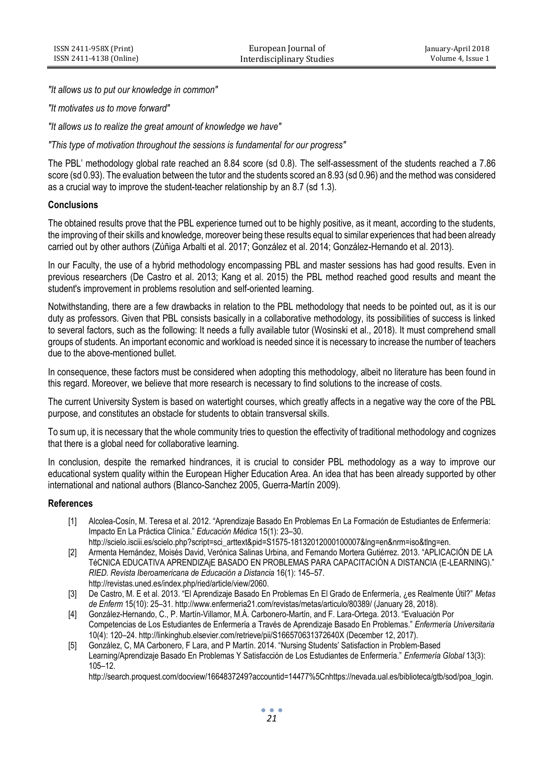*"It allows us to put our knowledge in common"*

*"It motivates us to move forward"*

*"It allows us to realize the great amount of knowledge we have"*

*"This type of motivation throughout the sessions is fundamental for our progress"*

The PBL' methodology global rate reached an 8.84 score (sd 0.8). The self-assessment of the students reached a 7.86 score (sd 0.93). The evaluation between the tutor and the students scored an 8.93 (sd 0.96) and the method was considered as a crucial way to improve the student-teacher relationship by an 8.7 (sd 1.3).

## **Conclusions**

The obtained results prove that the PBL experience turned out to be highly positive, as it meant, according to the students, the improving of their skills and knowledge, moreover being these results equal to similar experiences that had been already carried out by other authors (Zúñiga Arbalti et al. 2017; González et al. 2014; González-Hernando et al. 2013).

In our Faculty, the use of a hybrid methodology encompassing PBL and master sessions has had good results. Even in previous researchers (De Castro et al. 2013; Kang et al. 2015) the PBL method reached good results and meant the student's improvement in problems resolution and self-oriented learning.

Notwithstanding, there are a few drawbacks in relation to the PBL methodology that needs to be pointed out, as it is our duty as professors. Given that PBL consists basically in a collaborative methodology, its possibilities of success is linked to several factors, such as the following: It needs a fully available tutor (Wosinski et al., 2018). It must comprehend small groups of students. An important economic and workload is needed since it is necessary to increase the number of teachers due to the above-mentioned bullet.

In consequence, these factors must be considered when adopting this methodology, albeit no literature has been found in this regard. Moreover, we believe that more research is necessary to find solutions to the increase of costs.

The current University System is based on watertight courses, which greatly affects in a negative way the core of the PBL purpose, and constitutes an obstacle for students to obtain transversal skills.

To sum up, it is necessary that the whole community tries to question the effectivity of traditional methodology and cognizes that there is a global need for collaborative learning.

In conclusion, despite the remarked hindrances, it is crucial to consider PBL methodology as a way to improve our educational system quality within the European Higher Education Area. An idea that has been already supported by other international and national authors (Blanco-Sanchez 2005, Guerra-Martín 2009).

## **References**

- [1] Alcolea-Cosín, M. Teresa et al. 2012. "Aprendizaje Basado En Problemas En La Formación de Estudiantes de Enfermería: Impacto En La Práctica Clínica." *Educación Médica* 15(1): 23–30.
- http://scielo.isciii.es/scielo.php?script=sci\_arttext&pid=S1575-18132012000100007&lng=en&nrm=iso&tlng=en. [2] Armenta Hernández, Moisés David, Verónica Salinas Urbina, and Fernando Mortera Gutiérrez. 2013. "APLICACIÓN DE LA TéCNICA EDUCATIVA APRENDIZAjE BASADO EN PROBLEMAS PARA CAPACITACIÓN A DISTANCIA (E-LEARNING)." *RIED. Revista Iberoamericana de Educación a Distancia* 16(1): 145–57. http://revistas.uned.es/index.php/ried/article/view/2060.
- [3] De Castro, M. E et al. 2013. "El Aprendizaje Basado En Problemas En El Grado de Enfermería, ¿es Realmente Útil?" *Metas de Enferm* 15(10): 25–31. http://www.enfermeria21.com/revistas/metas/articulo/80389/ (January 28, 2018).
- [4] González-Hernando, C., P. Martín-Villamor, M.Á. Carbonero-Martín, and F. Lara-Ortega. 2013. "Evaluación Por Competencias de Los Estudiantes de Enfermería a Través de Aprendizaje Basado En Problemas." *Enfermería Universitaria* 10(4): 120–24. http://linkinghub.elsevier.com/retrieve/pii/S166570631372640X (December 12, 2017).
- [5] González, C, MA Carbonero, F Lara, and P Martín. 2014. "Nursing Students' Satisfaction in Problem-Based Learning/Aprendizaje Basado En Problemas Y Satisfacción de Los Estudiantes de Enfermería." *Enfermería Global* 13(3): 105–12.

http://search.proquest.com/docview/1664837249?accountid=14477%5Cnhttps://nevada.ual.es/biblioteca/gtb/sod/poa\_login.